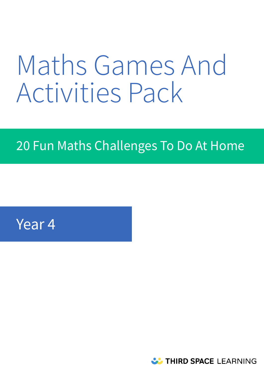# Maths Games And Activities Pack

## 20 Fun Maths Challenges To Do At Home

### Year 4

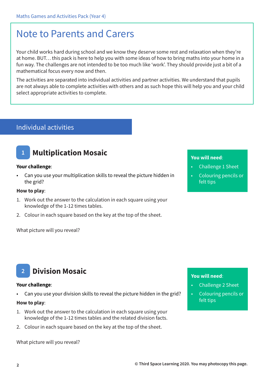### Note to Parents and Carers

Your child works hard during school and we know they deserve some rest and relaxation when they're at home. BUT… this pack is here to help you with some ideas of how to bring maths into your home in a fun way. The challenges are not intended to be too much like 'work'. They should provide just a bit of a mathematical focus every now and then.

The activities are separated into individual activities and partner activities. We understand that pupils are not always able to complete activities with others and as such hope this will help you and your child select appropriate activities to complete.

#### Individual activities

### **1 Multiplication Mosaic**

#### **Your challenge**:

• Can you use your multiplication skills to reveal the picture hidden in the grid?

#### **How to play**:

- 1. Work out the answer to the calculation in each square using your knowledge of the 1-12 times tables.
- 2. Colour in each square based on the key at the top of the sheet.

What picture will you reveal?

#### **You will need**:

- Challenge 1 Sheet
- Colouring pencils or felt tips

#### **You will need**:

- Challenge 2 Sheet
- Colouring pencils or felt tips

### **2 Division Mosaic**

#### **Your challenge**:

• Can you use your division skills to reveal the picture hidden in the grid?

#### **How to play**:

- 1. Work out the answer to the calculation in each square using your knowledge of the 1-12 times tables and the related division facts.
- 2. Colour in each square based on the key at the top of the sheet.

What picture will you reveal?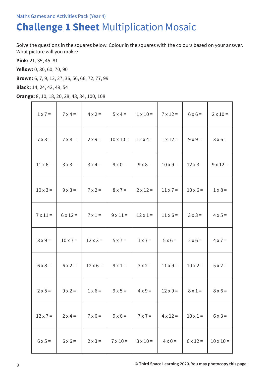### **Challenge 1 Sheet** Multiplication Mosaic

Solve the questions in the squares below. Colour in the squares with the colours based on your answer. What picture will you make?

**Pink:** 21, 35, 45, 81

**Yellow:** 0, 30, 60, 70, 90

**Brown:** 6, 7, 9, 12, 27, 36, 56, 66, 72, 77, 99

**Black:** 14, 24, 42, 49, 54

**Orange:** 8, 10, 18, 20, 28, 48, 84, 100, 108

| $1 \times 7 =$  | $7 \times 4 =$  | $4 \times 2 =$  | $5x4=$           | $1 \times 10 =$ | $7 \times 12 =$ | $6 \times 6 =$  | $2 \times 10 =$  |
|-----------------|-----------------|-----------------|------------------|-----------------|-----------------|-----------------|------------------|
| $7 \times 3 =$  | $7 \times 8 =$  | $2 \times 9 =$  | $10 \times 10 =$ | $12 \times 4 =$ | $1 \times 12 =$ | $9x9=$          | $3 \times 6 =$   |
| $11 \times 6 =$ | $3x3=$          | $3x4=$          | $9 \times 0 =$   | $9 \times 8 =$  | $10 \times 9 =$ | $12 \times 3 =$ | $9 \times 12 =$  |
| $10 \times 3 =$ | $9x3=$          | $7 \times 2 =$  | $8 \times 7 =$   | $2 \times 12 =$ | $11 \times 7 =$ | $10 \times 6 =$ | $1 \times 8 =$   |
| $7 \times 11 =$ | $6 \times 12 =$ | $7 \times 1 =$  | $9 \times 11 =$  | $12 \times 1 =$ | $11 \times 6 =$ | $3 \times 3 =$  | $4 \times 5 =$   |
| $3x9=$          | $10 \times 7 =$ | $12 \times 3 =$ | $5 \times 7 =$   | $1 \times 7 =$  | $5 \times 6 =$  | $2 \times 6 =$  | $4 \times 7 =$   |
| $6 \times 8 =$  | $6x2=$          | $12 \times 6 =$ | $9 \times 1 =$   | $3x2=$          | $11 \times 9 =$ | $10 \times 2 =$ | $5 \times 2 =$   |
| $2 \times 5 =$  | $9x2=$          | $1 \times 6 =$  | $9x5=$           | $4 \times 9 =$  | $12 \times 9 =$ | $8 \times 1 =$  | $8 \times 6 =$   |
| $12 \times 7 =$ | $2 \times 4 =$  | $7 \times 6 =$  | $9 \times 6 =$   | $7 \times 7 =$  | $4 \times 12 =$ | $10 \times 1 =$ | $6x3=$           |
| $6 \times 5 =$  | $6 \times 6 =$  | $2 \times 3 =$  | $7 \times 10 =$  | $3 \times 10 =$ | $4 \times 0 =$  | $6 \times 12 =$ | $10 \times 10 =$ |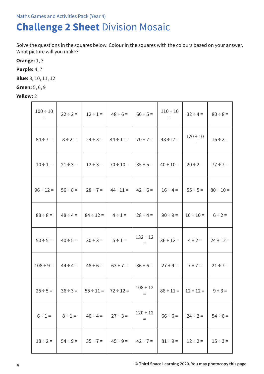### **Challenge 2 Sheet** Division Mosaic

Solve the questions in the squares below. Colour in the squares with the colours based on your answer. What picture will you make?

**Orange:** 1, 3

**Purple:** 4, 7

**Blue:** 8, 10, 11, 12

**Green:** 5, 6, 9

**Yellow:** 2

| $100 \div 10$<br>$\equiv$ | $22 \div 2 =$ | $12 \div 1 =$  | $48 \div 6 =$  | $60 \div 5 =$        | $110 \div 10$<br>$\equiv$ | $32 \div 4 =$        | $80 \div 8 =$  |
|---------------------------|---------------|----------------|----------------|----------------------|---------------------------|----------------------|----------------|
| $84 \div 7 =$             | $8 \div 2 =$  | $24 \div 3 =$  | $44 \div 11 =$ | $70 \div 7 =$        | $48 \div 12 =$            | $120 \div 10$<br>$=$ | $16 \div 2 =$  |
| $10 \div 1 =$             | $21 \div 3 =$ | $12 \div 3 =$  | $70 \div 10 =$ | $35 \div 5 =$        | $40 \div 10 =$            | $20 \div 2 =$        | $77 \div 7 =$  |
| $96 \div 12 =$            | $56 \div 8 =$ | $28 \div 7 =$  | $44 \div 11 =$ | $42 \div 6 =$        | $16 \div 4 =$             | $55 \div 5 =$        | $80 \div 10 =$ |
| $88 \div 8 =$             | $48 \div 4 =$ | $84 \div 12 =$ | $4 \div 1 =$   | $28 \div 4 =$        | $90 \div 9 =$             | $10 \div 10 =$       | $6 \div 2 =$   |
| $50 \div 5 =$             | $40 \div 5 =$ | $30 \div 3 =$  | $5 \div 1 =$   | $132 \div 12$<br>$=$ | $36 \div 12 =$            | $4 \div 2 =$         | $24 \div 12 =$ |
| $108 \div 9 =$            | $44 \div 4 =$ | $48 \div 6 =$  | $63 \div 7 =$  | $36 \div 6 =$        | $27 \div 9 =$             | $7 ÷ 7 =$            | $21 \div 7 =$  |
| $25 \div 5 =$             | $36 \div 3 =$ | $55 \div 11 =$ | $72 \div 12 =$ | $108 \div 12$<br>$=$ | $88 \div 11 =$            | $12 \div 12 =$       | $9 \div 3 =$   |
| $6 \div 1 =$              | $8 \div 1 =$  | $40 \div 4 =$  | $27 \div 3 =$  | $120 \div 12$<br>Ξ   | $66 \div 6 =$             | $24 \div 2 =$        | $54 \div 6 =$  |
| $18 \div 2 =$             | $54 \div 9 =$ | $35 \div 7 =$  | $45 \div 9 =$  | $42 \div 7 =$        | $81 \div 9 =$             | $12 \div 2 =$        | $15 \div 3 =$  |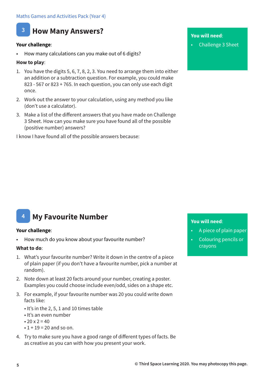

#### **Your challenge**:

• How many calculations can you make out of 6 digits?

#### **How to play**:

- 1. You have the digits 5, 6, 7, 8, 2, 3. You need to arrange them into either an addition or a subtraction question. For example, you could make 823 - 567 or 823 + 765. In each question, you can only use each digit once.
- 2. Work out the answer to your calculation, using any method you like (don't use a calculator).
- 3. Make a list of the different answers that you have made on Challenge 3 Sheet. How can you make sure you have found all of the possible (positive number) answers?

I know I have found all of the possible answers because:

#### **You will need**:

• Challenge 3 Sheet

#### **4 My Favourite Number**

#### **Your challenge**:

How much do you know about your favourite number?

#### **What to do**:

- 1. What's your favourite number? Write it down in the centre of a piece of plain paper (if you don't have a favourite number, pick a number at random).
- 2. Note down at least 20 facts around your number, creating a poster. Examples you could choose include even/odd, sides on a shape etc.
- 3. For example, if your favourite number was 20 you could write down facts like:
	- It's in the 2, 5, 1 and 10 times table
	- It's an even number
	- 20  $x = 2 = 40$
	- $\cdot$  1 + 19 = 20 and so on.
- 4. Try to make sure you have a good range of different types of facts. Be as creative as you can with how you present your work.

- A piece of plain paper
- Colouring pencils or crayons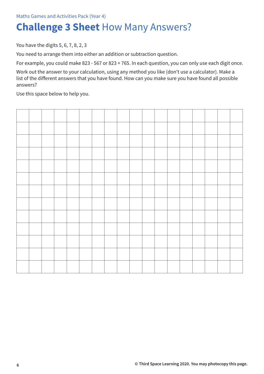### **Challenge 3 Sheet** How Many Answers?

You have the digits 5, 6, 7, 8, 2, 3

You need to arrange them into either an addition or subtraction question.

For example, you could make 823 - 567 or 823 + 765. In each question, you can only use each digit once.

Work out the answer to your calculation, using any method you like (don't use a calculator). Make a list of the different answers that you have found. How can you make sure you have found all possible answers?

Use this space below to help you.

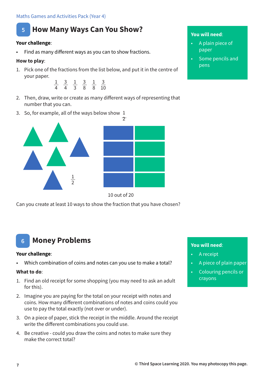#### Maths Games and Activities Pack (Year 4)



#### **Your challenge**:

• Find as many different ways as you can to show fractions.

#### **How to play**:

1. Pick one of the fractions from the list below, and put it in the centre of your paper.



- 2. Then, draw, write or create as many different ways of representing that number that you can.
- 3. So, for example, all of the ways below show 1  $\tau$





Can you create at least 10 ways to show the fraction that you have chosen?

### **6 Money Problems**

#### **Your challenge**:

• Which combination of coins and notes can you use to make a total?

#### **What to do**:

- 1. Find an old receipt for some shopping (you may need to ask an adult for this).
- 2. Imagine you are paying for the total on your receipt with notes and coins. How many different combinations of notes and coins could you use to pay the total exactly (not over or under).
- 3. On a piece of paper, stick the receipt in the middle. Around the receipt write the different combinations you could use.
- 4. Be creative could you draw the coins and notes to make sure they make the correct total?

#### **You will need**:

- A plain piece of paper
- Some pencils and pens

- A receipt
- A piece of plain paper
- Colouring pencils or crayons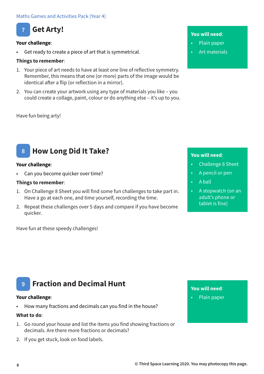

#### **Your challenge**:

Get ready to create a piece of art that is symmetrical.

#### **Things to remember**:

- 1. Your piece of art needs to have at least one line of reflective symmetry. Remember, this means that one (or more) parts of the image would be identical after a flip (or reflection in a mirror).
- 2. You can create your artwork using any type of materials you like you could create a collage, paint, colour or do anything else – it's up to you.

#### Have fun being arty!

#### **8 How Long Did It Take?**

#### **Your challenge**:

Can you become quicker over time?

#### **Things to remember**:

- 1. On Challenge 8 Sheet you will find some fun challenges to take part in. Have a go at each one, and time yourself, recording the time.
- 2. Repeat these challenges over 5 days and compare if you have become quicker.

Have fun at these speedy challenges!

#### **You will need**:

- Plain paper
- Art materials

#### **You will need**:

- Challenge 8 Sheet
- A pencil or pen
- A ball
- A stopwatch (on an adult's phone or tablet is fine)

### **9 Fraction and Decimal Hunt**

#### **Your challenge**:

• How many fractions and decimals can you find in the house?

#### **What to do**:

- 1. Go round your house and list the items you find showing fractions or decimals. Are there more fractions or decimals?
- 2. If you get stuck, look on food labels.

#### **You will need**:

• Plain paper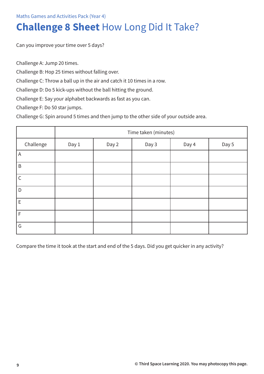#### Maths Games and Activities Pack (Year 4)

### **Challenge 8 Sheet** How Long Did It Take?

Can you improve your time over 5 days?

Challenge A: Jump 20 times.

Challenge B: Hop 25 times without falling over.

Challenge C: Throw a ball up in the air and catch it 10 times in a row.

Challenge D: Do 5 kick-ups without the ball hitting the ground.

Challenge E: Say your alphabet backwards as fast as you can.

Challenge F: Do 50 star jumps.

Challenge G: Spin around 5 times and then jump to the other side of your outside area.

|              |       | Time taken (minutes) |       |       |       |  |  |  |  |  |  |  |  |  |
|--------------|-------|----------------------|-------|-------|-------|--|--|--|--|--|--|--|--|--|
| Challenge    | Day 1 | Day 2                | Day 3 | Day 4 | Day 5 |  |  |  |  |  |  |  |  |  |
| A            |       |                      |       |       |       |  |  |  |  |  |  |  |  |  |
| $\sf B$      |       |                      |       |       |       |  |  |  |  |  |  |  |  |  |
| $\mathsf{C}$ |       |                      |       |       |       |  |  |  |  |  |  |  |  |  |
| D            |       |                      |       |       |       |  |  |  |  |  |  |  |  |  |
| E            |       |                      |       |       |       |  |  |  |  |  |  |  |  |  |
| F            |       |                      |       |       |       |  |  |  |  |  |  |  |  |  |
| G            |       |                      |       |       |       |  |  |  |  |  |  |  |  |  |

Compare the time it took at the start and end of the 5 days. Did you get quicker in any activity?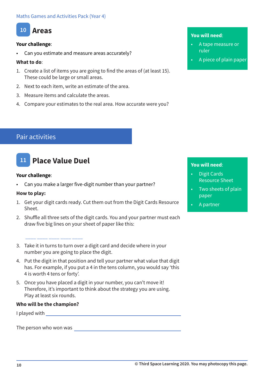### **10 Areas**

#### **Your challenge**:

Can you estimate and measure areas accurately?

#### **What to do**:

- 1. Create a list of items you are going to find the areas of (at least 15). These could be large or small areas.
- 2. Next to each item, write an estimate of the area.
- 3. Measure items and calculate the areas.
- 4. Compare your estimates to the real area. How accurate were you?

#### **You will need**:

- A tape measure or ruler
- A piece of plain paper

### Pair activities

### **11 Place Value Duel**

#### **Your challenge**:

• Can you make a larger five-digit number than your partner?

#### **How to play:**

- 1. Get your digit cards ready. Cut them out from the Digit Cards Resource Sheet.
- 2. Shuffle all three sets of the digit cards. You and your partner must each draw five big lines on your sheet of paper like this:

#### \_\_\_\_ \_\_\_\_ \_\_\_\_ \_\_\_\_ \_\_\_\_

- 3. Take it in turns to turn over a digit card and decide where in your number you are going to place the digit.
- 4. Put the digit in that position and tell your partner what value that digit has. For example, if you put a 4 in the tens column, you would say 'this 4 is worth 4 tens or forty'.
- 5. Once you have placed a digit in your number, you can't move it! Therefore, it's important to think about the strategy you are using. Play at least six rounds.

#### **Who will be the champion?**

I played with

The person who won was

- Digit Cards Resource Sheet
- Two sheets of plain paper
- A partner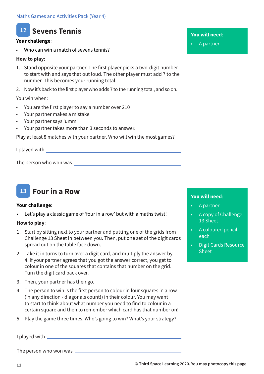### **12 Sevens Tennis**

#### **Your challenge**:

Who can win a match of sevens tennis?

#### **How to play**:

- 1. Stand opposite your partner. The first player picks a two-digit number to start with and says that out loud. The other player must add 7 to the number. This becomes your running total.
- 2. Now it's back to the first player who adds 7 to the running total, and so on.

You win when:

- You are the first player to say a number over 210
- Your partner makes a mistake
- Your partner says 'umm'
- Your partner takes more than 3 seconds to answer.

Play at least 8 matches with your partner. Who will win the most games?

I played with

The person who won was



#### **Your challenge**:

Let's play a classic game of 'four in a row' but with a maths twist!

#### **How to play**:

- 1. Start by sitting next to your partner and putting one of the grids from Challenge 13 Sheet in between you. Then, put one set of the digit cards spread out on the table face down.
- 2. Take it in turns to turn over a digit card, and multiply the answer by 4. If your partner agrees that you got the answer correct, you get to colour in one of the squares that contains that number on the grid. Turn the digit card back over.
- 3. Then, your partner has their go.
- 4. The person to win is the first person to colour in four squares in a row (in any direction - diagonals count!) in their colour. You may want to start to think about what number you need to find to colour in a certain square and then to remember which card has that number on!
- 5. Play the game three times. Who's going to win? What's your strategy?

I played with

The person who won was

**You will need**:

• A partner

- A partner
- A copy of Challenge 13 Sheet
- A coloured pencil each
- Digit Cards Resource **Sheet**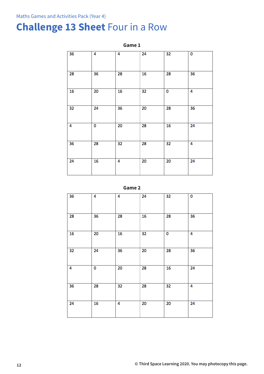### **Challenge 13 Sheet** Four in a Row

**Game 1**  $\overline{36}$  $\overline{4}$  $\overline{4}$  $\overline{24}$  $\overline{32}$  $\overline{\mathbf{0}}$ 28  $\overline{36}$ 28  $16$  $\overline{28}$  $\overline{36}$  $\overline{16}$  $\overline{20}$  $\overline{32}$  $\overline{0}$  $\overline{16}$  $\overline{4}$  $\overline{32}$  $\overline{24}$  $\overline{36}$  $\overline{20}$  $\overline{28}$  $\overline{36}$  $\overline{4}$  $\overline{\mathbf{0}}$  $\overline{20}$  $\overline{28}$  $\overline{16}$  $\overline{24}$  $36$ 28  $\overline{32}$ 28  $\overline{32}$  $\overline{4}$  $\overline{20}$  $\overline{20}$  $\overline{24}$  $16$  $\overline{4}$  $\overline{24}$ 



| 36 | 4  | 4  | 24 | 32              | 0  |
|----|----|----|----|-----------------|----|
| 28 | 36 | 28 | 16 | 28              | 36 |
| 16 | 20 | 16 | 32 | 0               | 4  |
| 32 | 24 | 36 | 20 | 28              | 36 |
| 4  | 0  | 20 | 28 | 16              | 24 |
| 36 | 28 | 32 | 28 | 32              | 4  |
| 24 | 16 | 4  | 20 | $\overline{20}$ | 24 |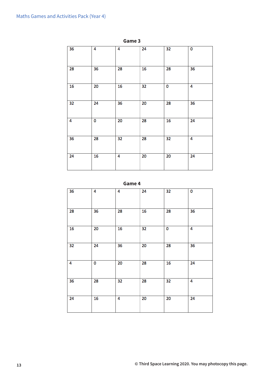| 36 | 4  | 4  | $\overline{24}$ | 32              | 0               |
|----|----|----|-----------------|-----------------|-----------------|
| 28 | 36 | 28 | 16              | 28              | 36              |
| 16 | 20 | 16 | 32              | 0               | 4               |
| 32 | 24 | 36 | 20              | 28              | 36              |
| 4  | 0  | 20 | 28              | 16              | 24              |
| 36 | 28 | 32 | 28              | 32              | 4               |
| 24 | 16 | 4  | $\overline{20}$ | $\overline{20}$ | $\overline{24}$ |

**Game 3**

**Game 4**

| $\overline{36}$ | 4  | 4  | 24 | 32              | 0  |
|-----------------|----|----|----|-----------------|----|
| 28              | 36 | 28 | 16 | 28              | 36 |
| 16              | 20 | 16 | 32 | 0               | 4  |
| $\overline{32}$ | 24 | 36 | 20 | 28              | 36 |
| 4               | 0  | 20 | 28 | $\overline{16}$ | 24 |
| 36              | 28 | 32 | 28 | 32              | 4  |
| 24              | 16 | 4  | 20 | 20              | 24 |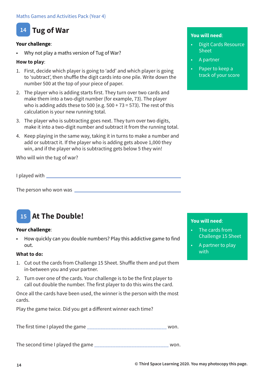### **14 Tug of War**

#### **Your challenge**:

• Why not play a maths version of Tug of War?

#### **How to play**:

- 1. First, decide which player is going to 'add' and which player is going to 'subtract', then shuffle the digit cards into one pile. Write down the number 500 at the top of your piece of paper.
- 2. The player who is adding starts first. They turn over two cards and make them into a two-digit number (for example, 73). The player who is adding adds these to 500 (e.g.  $500 + 73 = 573$ ). The rest of this calculation is your new running total.
- 3. The player who is subtracting goes next. They turn over two digits, make it into a two-digit number and subtract it from the running total.
- 4. Keep playing in the same way, taking it in turns to make a number and add or subtract it. If the player who is adding gets above 1,000 they win, and if the player who is subtracting gets below 5 they win!

Who will win the tug of war?

I played with

The person who won was

#### **At The Double! 15**

#### **Your challenge**:

• How quickly can you double numbers? Play this addictive game to find out.

#### **What to do:**

- 1. Cut out the cards from Challenge 15 Sheet. Shuffle them and put them in-between you and your partner.
- 2. Turn over one of the cards. Your challenge is to be the first player to call out double the number. The first player to do this wins the card.

Once all the cards have been used, the winner is the person with the most cards.

Play the game twice. Did you get a different winner each time?

The first time I played the game \_\_\_\_\_\_\_\_\_\_\_\_\_\_\_\_\_\_\_\_\_\_\_\_\_\_\_\_\_\_ won.

The second time I played the game \_\_\_\_\_\_\_\_\_\_\_\_\_\_\_\_\_\_\_\_\_\_\_\_\_\_\_\_ won.

#### **You will need**:

- Digit Cards Resource Sheet
- A partner
- Paper to keep a track of your score

- The cards from Challenge 15 Sheet
- A partner to play with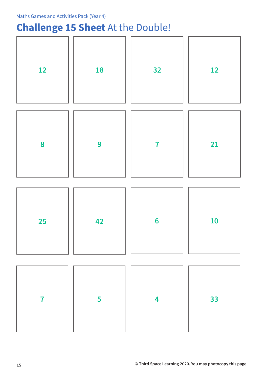### **Challenge 15 Sheet** At the Double!

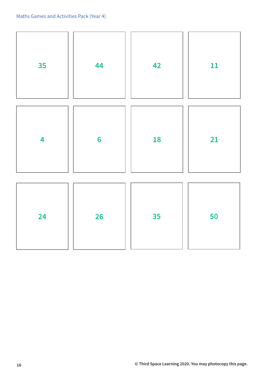| 35                      | 44              | 42 | 11 |
|-------------------------|-----------------|----|----|
| $\overline{\mathbf{4}}$ | $6\phantom{1}6$ | 18 | 21 |
| 24                      | <b>26</b>       | 35 | 50 |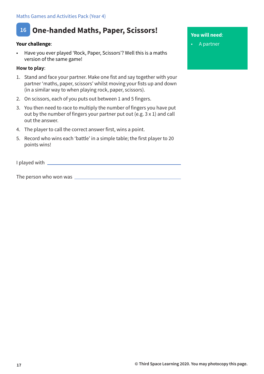### **16 One-handed Maths, Paper, Scissors!**

#### **Your challenge**:

• Have you ever played 'Rock, Paper, Scissors'? Well this is a maths version of the same game!

#### **How to play**:

- 1. Stand and face your partner. Make one fist and say together with your partner 'maths, paper, scissors' whilst moving your fists up and down (in a similar way to when playing rock, paper, scissors).
- 2. On scissors, each of you puts out between 1 and 5 fingers.
- 3. You then need to race to multiply the number of fingers you have put out by the number of fingers your partner put out (e.g. 3 x 1) and call out the answer.
- 4. The player to call the correct answer first, wins a point.
- 5. Record who wins each 'battle' in a simple table; the first player to 20 points wins!

I played with \_\_\_\_\_\_

The person who won was

#### **You will need**:

• A partner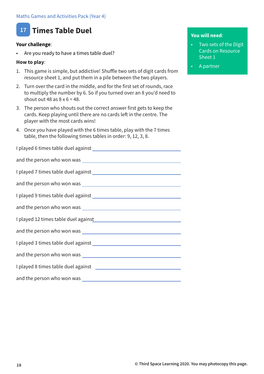

#### **Your challenge**:

Are you ready to have a times table duel?

#### **How to play**:

- 1. This game is simple, but addictive! Shuffle two sets of digit cards from resource sheet 1, and put them in a pile between the two players.
- 2. Turn over the card in the middle, and for the first set of rounds, race to multiply the number by 6. So if you turned over an 8 you'd need to shout out 48 as  $8 \times 6 = 48$ .
- 3. The person who shouts out the correct answer first gets to keep the cards. Keep playing until there are no cards left in the centre. The player with the most cards wins!
- 4. Once you have played with the 6 times table, play with the 7 times table, then the following times tables in order: 9, 12, 3, 8.

I played 6 times table duel against and the person who won was I played 7 times table duel against and the person who won was I played 9 times table duel against and the person who won was I played 12 times table duel against and the person who won was I played 3 times table duel against and the person who won was I played 8 times table duel against and the person who won was

- Two sets of the Digit Cards on Resource Sheet 1
- A partner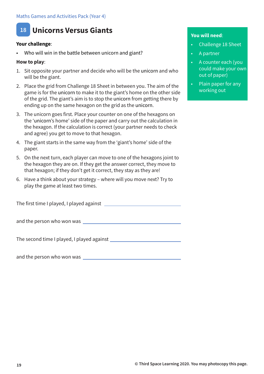### **18 Unicorns Versus Giants**

#### **Your challenge**:

Who will win in the battle between unicorn and giant?

#### **How to play**:

- 1. Sit opposite your partner and decide who will be the unicorn and who will be the giant.
- 2. Place the grid from Challenge 18 Sheet in between you. The aim of the game is for the unicorn to make it to the giant's home on the other side of the grid. The giant's aim is to stop the unicorn from getting there by ending up on the same hexagon on the grid as the unicorn.
- 3. The unicorn goes first. Place your counter on one of the hexagons on the 'unicorn's home' side of the paper and carry out the calculation in the hexagon. If the calculation is correct (your partner needs to check and agree) you get to move to that hexagon.
- 4. The giant starts in the same way from the 'giant's home' side of the paper.
- 5. On the next turn, each player can move to one of the hexagons joint to the hexagon they are on. If they get the answer correct, they move to that hexagon; if they don't get it correct, they stay as they are!
- 6. Have a think about your strategy where will you move next? Try to play the game at least two times.

The first time I played, I played against

and the person who won was

The second time I played, I played against

and the person who won was

- Challenge 18 Sheet
- A partner
- A counter each (you could make your own out of paper)
- Plain paper for any working out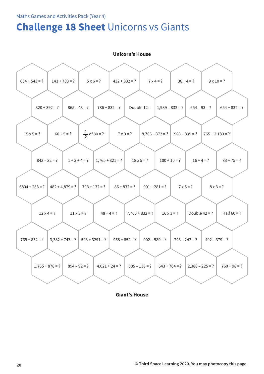### **Challenge 18 Sheet** Unicorns vs Giants

| <b>Unicorn's House</b> |                   |                         |                   |                   |                                      |                   |  |  |  |  |  |
|------------------------|-------------------|-------------------------|-------------------|-------------------|--------------------------------------|-------------------|--|--|--|--|--|
|                        |                   |                         |                   |                   |                                      |                   |  |  |  |  |  |
| $654 + 543 = ?$        | $143 + 783 = ?$   | $5 \times 6 = ?$        | $432 + 832 = ?$   | $7 \times 4 = ?$  | $36 \div 4 = ?$                      | $9 \times 10 = ?$ |  |  |  |  |  |
|                        |                   |                         |                   |                   |                                      |                   |  |  |  |  |  |
|                        | $320 + 392 = ?$   | $865 - 43 = ?$          | $786 + 832 = ?$   | Double $12 =$     | $1,989 - 832 = ?$<br>$654 - 93 = ?$  | $654 + 832 = ?$   |  |  |  |  |  |
|                        |                   |                         |                   |                   |                                      |                   |  |  |  |  |  |
| $15 \times 5 = ?$      | $60 \div 5 = ?$   | $\frac{1}{2}$ of 80 = ? | $7 \times 3 = ?$  | $8,765 - 372 = ?$ | $903 - 899 = ?$                      | $765 + 2,183 = ?$ |  |  |  |  |  |
|                        |                   |                         |                   |                   |                                      |                   |  |  |  |  |  |
|                        | $843 - 32 = ?$    | $1 + 3 + 4 = ?$         | $1,765 + 821 = ?$ | $18 \times 5 = ?$ | $100 \div 10 = ?$<br>$16 \div 4 = ?$ | $83 + 75 = ?$     |  |  |  |  |  |
|                        |                   |                         |                   |                   |                                      |                   |  |  |  |  |  |
| $6804 + 283 = ?$       | $482 + 4,879 = ?$ | $793 + 132 = ?$         | $86 + 832 = ?$    | $901 - 281 = ?$   | $7 \times 5 = ?$                     | $8 \times 3 = ?$  |  |  |  |  |  |
|                        |                   |                         |                   |                   |                                      |                   |  |  |  |  |  |
|                        | $12 \times 4 = ?$ | $11 \times 3 = ?$       | $48 \div 4 = ?$   | $7,765 + 832 = ?$ | Double $42 = ?$<br>$16 \times 3 = ?$ | Half $60 = ?$     |  |  |  |  |  |
|                        |                   |                         |                   |                   |                                      |                   |  |  |  |  |  |
| $765 + 832 = ?$        | $3,382 + 743 = ?$ | $593 + 3291 = ?$        | $968 + 854 = ?$   | $902 - 589 = ?$   | $793 - 242 = ?$                      | $492 - 379 = ?$   |  |  |  |  |  |
|                        |                   |                         |                   |                   |                                      |                   |  |  |  |  |  |
| $1,765 + 878 = ?$      |                   | $894 - 92 = ?$          | $4,021 + 24 = ?$  | $585 - 138 = ?$   | $2,388 - 225 = ?$<br>$543 + 764 = ?$ | $760 + 98 = ?$    |  |  |  |  |  |
|                        |                   |                         |                   |                   |                                      |                   |  |  |  |  |  |

**Giant's House**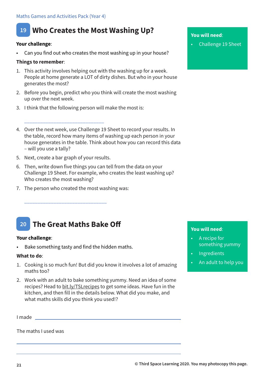### **19 Who Creates the Most Washing Up?**

#### **Your challenge**:

Can you find out who creates the most washing up in your house?

#### **Things to remember**:

- 1. This activity involves helping out with the washing up for a week. People at home generate a LOT of dirty dishes. But who in your house generates the most?
- 2. Before you begin, predict who you think will create the most washing up over the next week.
- 3. I think that the following person will make the most is:
- 4. Over the next week, use Challenge 19 Sheet to record your results. In the table, record how many items of washing up each person in your house generates in the table. Think about how you can record this data – will you use a tally?
- 5. Next, create a bar graph of your results.

\_\_\_\_\_\_\_\_\_\_\_\_\_\_\_\_\_\_\_\_\_\_\_\_\_\_\_\_\_\_

- 6. Then, write down five things you can tell from the data on your Challenge 19 Sheet. For example, who creates the least washing up? Who creates the most washing?
- 7. The person who created the most washing was:

#### **20 The Great Maths Bake Off**

\_\_\_\_\_\_\_\_\_\_\_\_\_\_\_\_\_\_\_\_\_\_\_\_\_\_\_\_\_\_\_

#### **Your challenge**:

Bake something tasty and find the hidden maths.

#### **What to do**:

- 1. Cooking is so much fun! But did you know it involves a lot of amazing maths too?
- 2. Work with an adult to bake something yummy. Need an idea of some recipes? Head to bit.ly/TSLrecipes to get some ideas. Have fun in the kitchen, and then fill in the details below. What did you make, and what maths skills did you think you used!?

I made

The maths I used was

#### **You will need**:

• Challenge 19 Sheet

- A recipe for something yummy
- Ingredients
- An adult to help you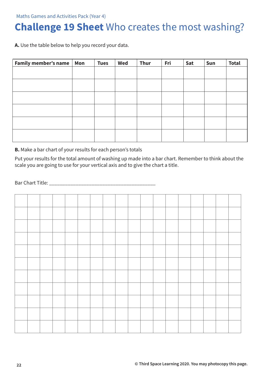### **Challenge 19 Sheet** Who creates the most washing?

**A.** Use the table below to help you record your data.

| <b>Family member's name</b> | Mon | <b>Tues</b> | Wed | <b>Thur</b> | Fri | Sat | Sun | <b>Total</b> |
|-----------------------------|-----|-------------|-----|-------------|-----|-----|-----|--------------|
|                             |     |             |     |             |     |     |     |              |
|                             |     |             |     |             |     |     |     |              |
|                             |     |             |     |             |     |     |     |              |
|                             |     |             |     |             |     |     |     |              |
|                             |     |             |     |             |     |     |     |              |
|                             |     |             |     |             |     |     |     |              |
|                             |     |             |     |             |     |     |     |              |
|                             |     |             |     |             |     |     |     |              |
|                             |     |             |     |             |     |     |     |              |
|                             |     |             |     |             |     |     |     |              |
|                             |     |             |     |             |     |     |     |              |
|                             |     |             |     |             |     |     |     |              |

**B.** Make a bar chart of your results for each person's totals

Put your results for the total amount of washing up made into a bar chart. Remember to think about the scale you are going to use for your vertical axis and to give the chart a title.

Bar Chart Title: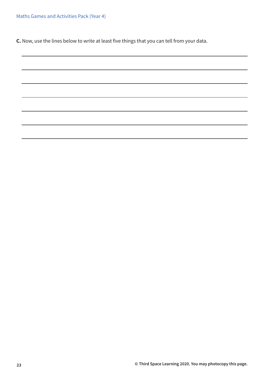Maths Games and Activities Pack (Year 4)

**C.** Now, use the lines below to write at least five things that you can tell from your data.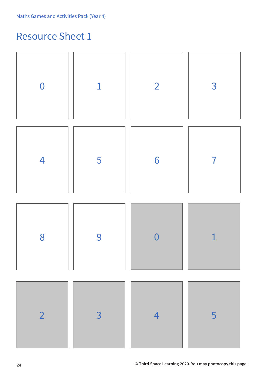### Resource Sheet 1